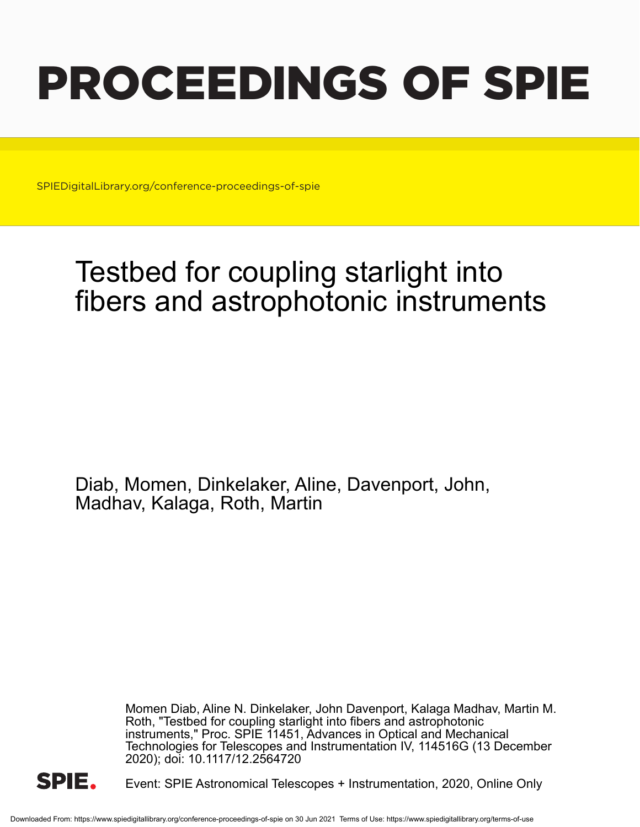# PROCEEDINGS OF SPIE

SPIEDigitalLibrary.org/conference-proceedings-of-spie

## Testbed for coupling starlight into fibers and astrophotonic instruments

Diab, Momen, Dinkelaker, Aline, Davenport, John, Madhav, Kalaga, Roth, Martin

> Momen Diab, Aline N. Dinkelaker, John Davenport, Kalaga Madhav, Martin M. Roth, "Testbed for coupling starlight into fibers and astrophotonic instruments," Proc. SPIE 11451, Advances in Optical and Mechanical Technologies for Telescopes and Instrumentation IV, 114516G (13 December 2020); doi: 10.1117/12.2564720



Event: SPIE Astronomical Telescopes + Instrumentation, 2020, Online Only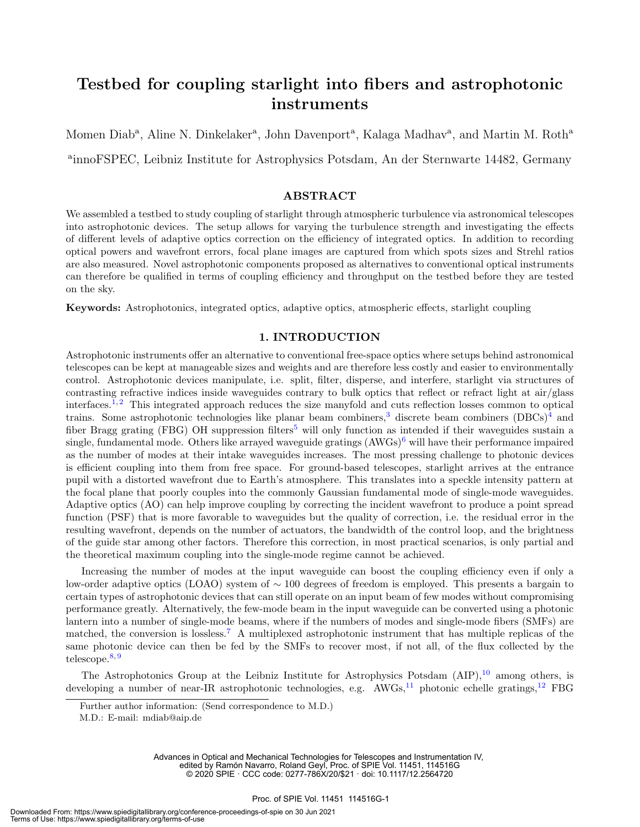### Testbed for coupling starlight into fibers and astrophotonic instruments

Momen Diab<sup>a</sup>, Aline N. Dinkelaker<sup>a</sup>, John Davenport<sup>a</sup>, Kalaga Madhav<sup>a</sup>, and Martin M. Roth<sup>a</sup> a innoFSPEC, Leibniz Institute for Astrophysics Potsdam, An der Sternwarte 14482, Germany

#### ABSTRACT

We assembled a testbed to study coupling of starlight through atmospheric turbulence via astronomical telescopes into astrophotonic devices. The setup allows for varying the turbulence strength and investigating the effects of different levels of adaptive optics correction on the efficiency of integrated optics. In addition to recording optical powers and wavefront errors, focal plane images are captured from which spots sizes and Strehl ratios are also measured. Novel astrophotonic components proposed as alternatives to conventional optical instruments can therefore be qualified in terms of coupling efficiency and throughput on the testbed before they are tested on the sky.

Keywords: Astrophotonics, integrated optics, adaptive optics, atmospheric effects, starlight coupling

#### 1. INTRODUCTION

Astrophotonic instruments offer an alternative to conventional free-space optics where setups behind astronomical telescopes can be kept at manageable sizes and weights and are therefore less costly and easier to environmentally control. Astrophotonic devices manipulate, i.e. split, filter, disperse, and interfere, starlight via structures of contrasting refractive indices inside waveguides contrary to bulk optics that reflect or refract light at air/glass interfaces.<sup>1, 2</sup> This integrated approach reduces the size manyfold and cuts reflection losses common to optical trains. Some astrophotonic technologies like planar beam combiners,<sup>3</sup> discrete beam combiners (DBCs)<sup>4</sup> and fiber Bragg grating (FBG) OH suppression filters<sup>5</sup> will only function as intended if their waveguides sustain a single, fundamental mode. Others like arrayed waveguide gratings  $(AWGs)^6$  will have their performance impaired as the number of modes at their intake waveguides increases. The most pressing challenge to photonic devices is efficient coupling into them from free space. For ground-based telescopes, starlight arrives at the entrance pupil with a distorted wavefront due to Earth's atmosphere. This translates into a speckle intensity pattern at the focal plane that poorly couples into the commonly Gaussian fundamental mode of single-mode waveguides. Adaptive optics (AO) can help improve coupling by correcting the incident wavefront to produce a point spread function (PSF) that is more favorable to waveguides but the quality of correction, i.e. the residual error in the resulting wavefront, depends on the number of actuators, the bandwidth of the control loop, and the brightness of the guide star among other factors. Therefore this correction, in most practical scenarios, is only partial and the theoretical maximum coupling into the single-mode regime cannot be achieved.

Increasing the number of modes at the input waveguide can boost the coupling efficiency even if only a low-order adaptive optics (LOAO) system of ∼ 100 degrees of freedom is employed. This presents a bargain to certain types of astrophotonic devices that can still operate on an input beam of few modes without compromising performance greatly. Alternatively, the few-mode beam in the input waveguide can be converted using a photonic lantern into a number of single-mode beams, where if the numbers of modes and single-mode fibers (SMFs) are matched, the conversion is lossless.<sup>7</sup> A multiplexed astrophotonic instrument that has multiple replicas of the same photonic device can then be fed by the SMFs to recover most, if not all, of the flux collected by the telescope.<sup>8,9</sup>

The Astrophotonics Group at the Leibniz Institute for Astrophysics Potsdam  $(AIP)$ ,<sup>10</sup> among others, is developing a number of near-IR astrophotonic technologies, e.g.  $AWGs,^{11}$  photonic echelle gratings,<sup>12</sup> FBG

Advances in Optical and Mechanical Technologies for Telescopes and Instrumentation IV, edited by Ramón Navarro, Roland Geyl, Proc. of SPIE Vol. 11451, 114516G © 2020 SPIE · CCC code: 0277-786X/20/\$21 · doi: 10.1117/12.2564720

Further author information: (Send correspondence to M.D.)

M.D.: E-mail: mdiab@aip.de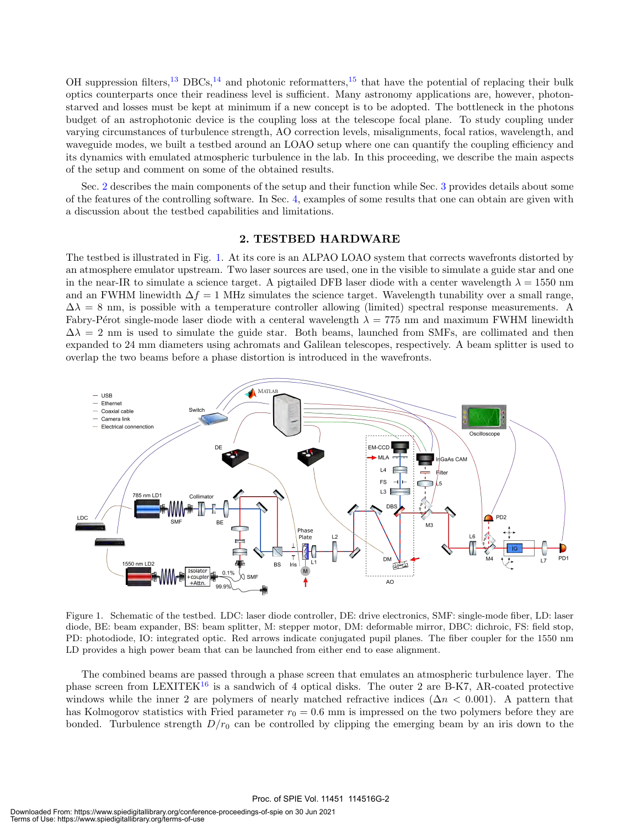OH suppression filters,<sup>13</sup> DBCs,<sup>14</sup> and photonic reformatters,<sup>15</sup> that have the potential of replacing their bulk optics counterparts once their readiness level is sufficient. Many astronomy applications are, however, photonstarved and losses must be kept at minimum if a new concept is to be adopted. The bottleneck in the photons budget of an astrophotonic device is the coupling loss at the telescope focal plane. To study coupling under varying circumstances of turbulence strength, AO correction levels, misalignments, focal ratios, wavelength, and waveguide modes, we built a testbed around an LOAO setup where one can quantify the coupling efficiency and its dynamics with emulated atmospheric turbulence in the lab. In this proceeding, we describe the main aspects of the setup and comment on some of the obtained results.

Sec. 2 describes the main components of the setup and their function while Sec. 3 provides details about some of the features of the controlling software. In Sec. 4, examples of some results that one can obtain are given with a discussion about the testbed capabilities and limitations.

#### 2. TESTBED HARDWARE

The testbed is illustrated in Fig. 1. At its core is an ALPAO LOAO system that corrects wavefronts distorted by an atmosphere emulator upstream. Two laser sources are used, one in the visible to simulate a guide star and one in the near-IR to simulate a science target. A pigtailed DFB laser diode with a center wavelength  $\lambda = 1550$  nm and an FWHM linewidth  $\Delta f = 1$  MHz simulates the science target. Wavelength tunability over a small range,  $\Delta\lambda = 8$  nm, is possible with a temperature controller allowing (limited) spectral response measurements. A Fabry-Pérot single-mode laser diode with a centeral wavelength  $\lambda = 775$  nm and maximum FWHM linewidth  $\Delta\lambda = 2$  nm is used to simulate the guide star. Both beams, launched from SMFs, are collimated and then expanded to 24 mm diameters using achromats and Galilean telescopes, respectively. A beam splitter is used to overlap the two beams before a phase distortion is introduced in the wavefronts.



Figure 1. Schematic of the testbed. LDC: laser diode controller, DE: drive electronics, SMF: single-mode fiber, LD: laser diode, BE: beam expander, BS: beam splitter, M: stepper motor, DM: deformable mirror, DBC: dichroic, FS: field stop, PD: photodiode, IO: integrated optic. Red arrows indicate conjugated pupil planes. The fiber coupler for the 1550 nm LD provides a high power beam that can be launched from either end to ease alignment.

The combined beams are passed through a phase screen that emulates an atmospheric turbulence layer. The phase screen from LEXITEK<sup>16</sup> is a sandwich of 4 optical disks. The outer 2 are B-K7, AR-coated protective windows while the inner 2 are polymers of nearly matched refractive indices  $(\Delta n \, 0.001)$ . A pattern that has Kolmogorov statistics with Fried parameter  $r_0 = 0.6$  mm is impressed on the two polymers before they are bonded. Turbulence strength  $D/r_0$  can be controlled by clipping the emerging beam by an iris down to the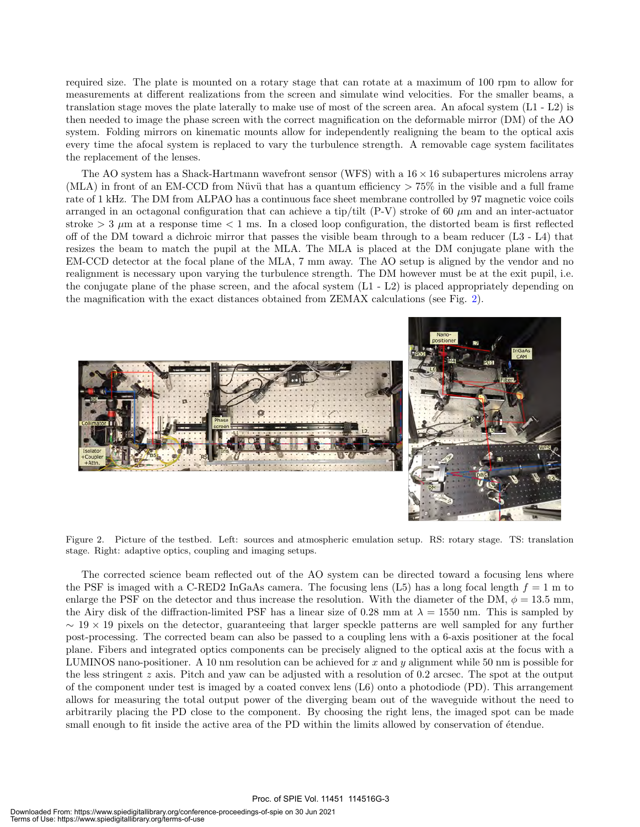required size. The plate is mounted on a rotary stage that can rotate at a maximum of 100 rpm to allow for measurements at different realizations from the screen and simulate wind velocities. For the smaller beams, a translation stage moves the plate laterally to make use of most of the screen area. An afocal system (L1 - L2) is then needed to image the phase screen with the correct magnification on the deformable mirror (DM) of the AO system. Folding mirrors on kinematic mounts allow for independently realigning the beam to the optical axis every time the afocal system is replaced to vary the turbulence strength. A removable cage system facilitates the replacement of the lenses.

The AO system has a Shack-Hartmann wavefront sensor (WFS) with a  $16 \times 16$  subapertures microlens array (MLA) in front of an EM-CCD from Nüvü that has a quantum efficiency  $> 75\%$  in the visible and a full frame rate of 1 kHz. The DM from ALPAO has a continuous face sheet membrane controlled by 97 magnetic voice coils arranged in an octagonal configuration that can achieve a tip/tilt  $(P-V)$  stroke of 60  $\mu$ m and an inter-actuator stroke  $> 3 \mu$ m at a response time  $< 1$  ms. In a closed loop configuration, the distorted beam is first reflected off of the DM toward a dichroic mirror that passes the visible beam through to a beam reducer (L3 - L4) that resizes the beam to match the pupil at the MLA. The MLA is placed at the DM conjugate plane with the EM-CCD detector at the focal plane of the MLA, 7 mm away. The AO setup is aligned by the vendor and no realignment is necessary upon varying the turbulence strength. The DM however must be at the exit pupil, i.e. the conjugate plane of the phase screen, and the afocal system (L1 - L2) is placed appropriately depending on the magnification with the exact distances obtained from ZEMAX calculations (see Fig. 2).



Figure 2. Picture of the testbed. Left: sources and atmospheric emulation setup. RS: rotary stage. TS: translation stage. Right: adaptive optics, coupling and imaging setups.

The corrected science beam reflected out of the AO system can be directed toward a focusing lens where the PSF is imaged with a C-RED2 InGaAs camera. The focusing lens (L5) has a long focal length  $f = 1$  m to enlarge the PSF on the detector and thus increase the resolution. With the diameter of the DM,  $\phi = 13.5$  mm, the Airy disk of the diffraction-limited PSF has a linear size of 0.28 mm at  $\lambda = 1550$  nm. This is sampled by  $\sim$  19  $\times$  19 pixels on the detector, guaranteeing that larger speckle patterns are well sampled for any further post-processing. The corrected beam can also be passed to a coupling lens with a 6-axis positioner at the focal plane. Fibers and integrated optics components can be precisely aligned to the optical axis at the focus with a LUMINOS nano-positioner. A 10 nm resolution can be achieved for x and y alignment while 50 nm is possible for the less stringent z axis. Pitch and yaw can be adjusted with a resolution of 0.2 arcsec. The spot at the output of the component under test is imaged by a coated convex lens (L6) onto a photodiode (PD). This arrangement allows for measuring the total output power of the diverging beam out of the waveguide without the need to arbitrarily placing the PD close to the component. By choosing the right lens, the imaged spot can be made small enough to fit inside the active area of the PD within the limits allowed by conservation of étendue.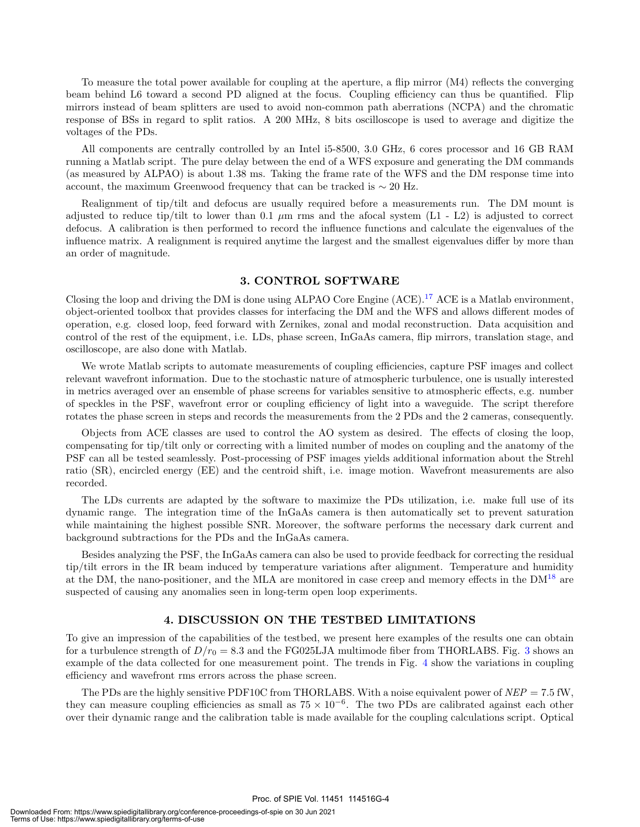To measure the total power available for coupling at the aperture, a flip mirror (M4) reflects the converging beam behind L6 toward a second PD aligned at the focus. Coupling efficiency can thus be quantified. Flip mirrors instead of beam splitters are used to avoid non-common path aberrations (NCPA) and the chromatic response of BSs in regard to split ratios. A 200 MHz, 8 bits oscilloscope is used to average and digitize the voltages of the PDs.

All components are centrally controlled by an Intel i5-8500, 3.0 GHz, 6 cores processor and 16 GB RAM running a Matlab script. The pure delay between the end of a WFS exposure and generating the DM commands (as measured by ALPAO) is about 1.38 ms. Taking the frame rate of the WFS and the DM response time into account, the maximum Greenwood frequency that can be tracked is  $\sim 20$  Hz.

Realignment of tip/tilt and defocus are usually required before a measurements run. The DM mount is adjusted to reduce tip/tilt to lower than 0.1  $\mu$ m rms and the afocal system (L1 - L2) is adjusted to correct defocus. A calibration is then performed to record the influence functions and calculate the eigenvalues of the influence matrix. A realignment is required anytime the largest and the smallest eigenvalues differ by more than an order of magnitude.

#### 3. CONTROL SOFTWARE

Closing the loop and driving the DM is done using ALPAO Core Engine  $(ACE).<sup>17</sup>$  ACE is a Matlab environment, object-oriented toolbox that provides classes for interfacing the DM and the WFS and allows different modes of operation, e.g. closed loop, feed forward with Zernikes, zonal and modal reconstruction. Data acquisition and control of the rest of the equipment, i.e. LDs, phase screen, InGaAs camera, flip mirrors, translation stage, and oscilloscope, are also done with Matlab.

We wrote Matlab scripts to automate measurements of coupling efficiencies, capture PSF images and collect relevant wavefront information. Due to the stochastic nature of atmospheric turbulence, one is usually interested in metrics averaged over an ensemble of phase screens for variables sensitive to atmospheric effects, e.g. number of speckles in the PSF, wavefront error or coupling efficiency of light into a waveguide. The script therefore rotates the phase screen in steps and records the measurements from the 2 PDs and the 2 cameras, consequently.

Objects from ACE classes are used to control the AO system as desired. The effects of closing the loop, compensating for tip/tilt only or correcting with a limited number of modes on coupling and the anatomy of the PSF can all be tested seamlessly. Post-processing of PSF images yields additional information about the Strehl ratio (SR), encircled energy (EE) and the centroid shift, i.e. image motion. Wavefront measurements are also recorded.

The LDs currents are adapted by the software to maximize the PDs utilization, i.e. make full use of its dynamic range. The integration time of the InGaAs camera is then automatically set to prevent saturation while maintaining the highest possible SNR. Moreover, the software performs the necessary dark current and background subtractions for the PDs and the InGaAs camera.

Besides analyzing the PSF, the InGaAs camera can also be used to provide feedback for correcting the residual tip/tilt errors in the IR beam induced by temperature variations after alignment. Temperature and humidity at the DM, the nano-positioner, and the MLA are monitored in case creep and memory effects in the  $DM^{18}$  are suspected of causing any anomalies seen in long-term open loop experiments.

#### 4. DISCUSSION ON THE TESTBED LIMITATIONS

To give an impression of the capabilities of the testbed, we present here examples of the results one can obtain for a turbulence strength of  $D/r_0 = 8.3$  and the FG025LJA multimode fiber from THORLABS. Fig. 3 shows an example of the data collected for one measurement point. The trends in Fig. 4 show the variations in coupling efficiency and wavefront rms errors across the phase screen.

The PDs are the highly sensitive PDF10C from THORLABS. With a noise equivalent power of  $NEP = 7.5$  fW, they can measure coupling efficiencies as small as  $75 \times 10^{-6}$ . The two PDs are calibrated against each other over their dynamic range and the calibration table is made available for the coupling calculations script. Optical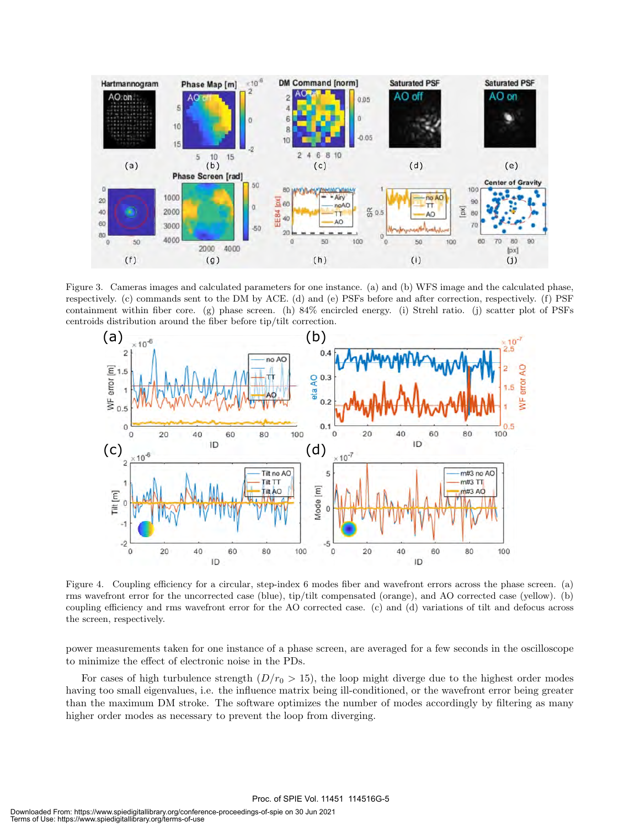

Figure 3. Cameras images and calculated parameters for one instance. (a) and (b) WFS image and the calculated phase, respectively. (c) commands sent to the DM by ACE. (d) and (e) PSFs before and after correction, respectively. (f) PSF containment within fiber core. (g) phase screen. (h) 84% encircled energy. (i) Strehl ratio. (j) scatter plot of PSFs centroids distribution around the fiber before tip/tilt correction.



Figure 4. Coupling efficiency for a circular, step-index 6 modes fiber and wavefront errors across the phase screen. (a) rms wavefront error for the uncorrected case (blue), tip/tilt compensated (orange), and AO corrected case (yellow). (b) coupling efficiency and rms wavefront error for the AO corrected case. (c) and (d) variations of tilt and defocus across the screen, respectively.

power measurements taken for one instance of a phase screen, are averaged for a few seconds in the oscilloscope to minimize the effect of electronic noise in the PDs.

For cases of high turbulence strength  $(D/r_0 > 15)$ , the loop might diverge due to the highest order modes having too small eigenvalues, i.e. the influence matrix being ill-conditioned, or the wavefront error being greater than the maximum DM stroke. The software optimizes the number of modes accordingly by filtering as many higher order modes as necessary to prevent the loop from diverging.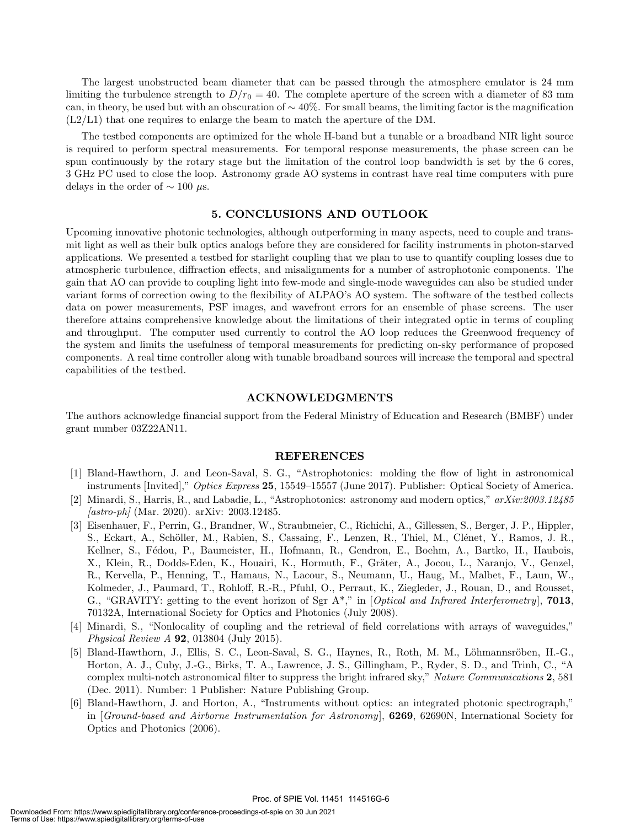The largest unobstructed beam diameter that can be passed through the atmosphere emulator is 24 mm limiting the turbulence strength to  $D/r_0 = 40$ . The complete aperture of the screen with a diameter of 83 mm can, in theory, be used but with an obscuration of  $\sim 40\%$ . For small beams, the limiting factor is the magnification (L2/L1) that one requires to enlarge the beam to match the aperture of the DM.

The testbed components are optimized for the whole H-band but a tunable or a broadband NIR light source is required to perform spectral measurements. For temporal response measurements, the phase screen can be spun continuously by the rotary stage but the limitation of the control loop bandwidth is set by the 6 cores, 3 GHz PC used to close the loop. Astronomy grade AO systems in contrast have real time computers with pure delays in the order of  $\sim 100 \mu s$ .

#### 5. CONCLUSIONS AND OUTLOOK

Upcoming innovative photonic technologies, although outperforming in many aspects, need to couple and transmit light as well as their bulk optics analogs before they are considered for facility instruments in photon-starved applications. We presented a testbed for starlight coupling that we plan to use to quantify coupling losses due to atmospheric turbulence, diffraction effects, and misalignments for a number of astrophotonic components. The gain that AO can provide to coupling light into few-mode and single-mode waveguides can also be studied under variant forms of correction owing to the flexibility of ALPAO's AO system. The software of the testbed collects data on power measurements, PSF images, and wavefront errors for an ensemble of phase screens. The user therefore attains comprehensive knowledge about the limitations of their integrated optic in terms of coupling and throughput. The computer used currently to control the AO loop reduces the Greenwood frequency of the system and limits the usefulness of temporal measurements for predicting on-sky performance of proposed components. A real time controller along with tunable broadband sources will increase the temporal and spectral capabilities of the testbed.

#### ACKNOWLEDGMENTS

The authors acknowledge financial support from the Federal Ministry of Education and Research (BMBF) under grant number 03Z22AN11.

#### REFERENCES

- [1] Bland-Hawthorn, J. and Leon-Saval, S. G., "Astrophotonics: molding the flow of light in astronomical instruments [Invited]," Optics Express 25, 15549–15557 (June 2017). Publisher: Optical Society of America.
- [2] Minardi, S., Harris, R., and Labadie, L., "Astrophotonics: astronomy and modern optics," arXiv:2003.12485  $[astro\text{-}ph]$  (Mar. 2020). arXiv: 2003.12485.
- [3] Eisenhauer, F., Perrin, G., Brandner, W., Straubmeier, C., Richichi, A., Gillessen, S., Berger, J. P., Hippler, S., Eckart, A., Schöller, M., Rabien, S., Cassaing, F., Lenzen, R., Thiel, M., Clénet, Y., Ramos, J. R., Kellner, S., Fédou, P., Baumeister, H., Hofmann, R., Gendron, E., Boehm, A., Bartko, H., Haubois, X., Klein, R., Dodds-Eden, K., Houairi, K., Hormuth, F., Gräter, A., Jocou, L., Naranjo, V., Genzel, R., Kervella, P., Henning, T., Hamaus, N., Lacour, S., Neumann, U., Haug, M., Malbet, F., Laun, W., Kolmeder, J., Paumard, T., Rohloff, R.-R., Pfuhl, O., Perraut, K., Ziegleder, J., Rouan, D., and Rousset, G., "GRAVITY: getting to the event horizon of Sgr  $A^*$ ," in [Optical and Infrared Interferometry], 7013, 70132A, International Society for Optics and Photonics (July 2008).
- [4] Minardi, S., "Nonlocality of coupling and the retrieval of field correlations with arrays of waveguides," Physical Review A 92, 013804 (July 2015).
- [5] Bland-Hawthorn, J., Ellis, S. C., Leon-Saval, S. G., Haynes, R., Roth, M. M., Löhmannsröben, H.-G., Horton, A. J., Cuby, J.-G., Birks, T. A., Lawrence, J. S., Gillingham, P., Ryder, S. D., and Trinh, C., "A complex multi-notch astronomical filter to suppress the bright infrared sky," Nature Communications 2, 581 (Dec. 2011). Number: 1 Publisher: Nature Publishing Group.
- [6] Bland-Hawthorn, J. and Horton, A., "Instruments without optics: an integrated photonic spectrograph," in [Ground-based and Airborne Instrumentation for Astronomy], 6269, 62690N, International Society for Optics and Photonics (2006).